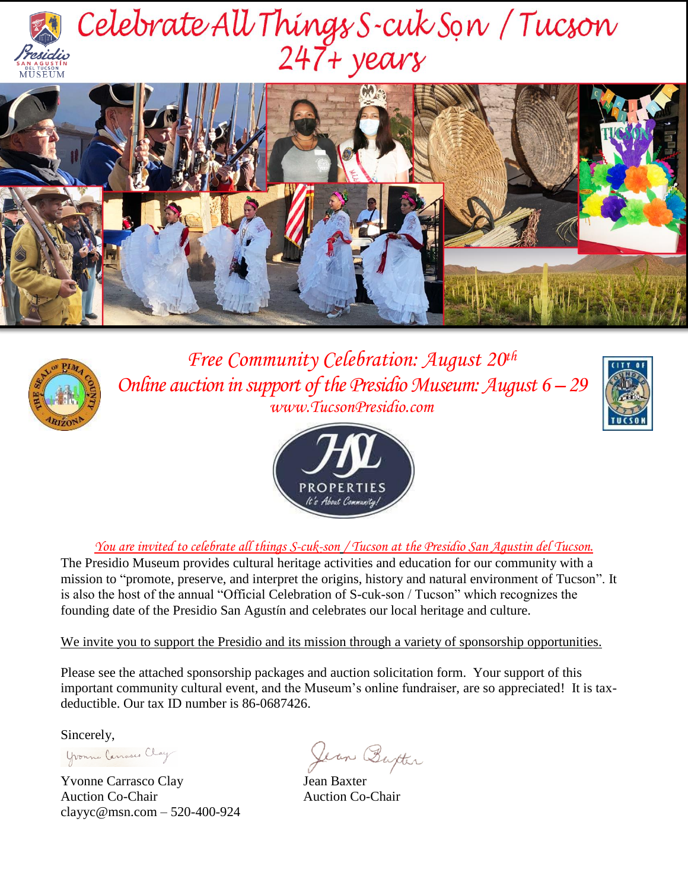

# Celebrate All Things S-cuk Son / Tucson





*Free Community Celebration: August 20th Online auction in support of the Presidio Museum: August 6 – 29 www.TucsonPresidio.com*





*You are invited to celebrate all things S-cuk-son / Tucson at the Presidio San Agustin del Tucson.*

The Presidio Museum provides cultural heritage activities and education for our community with a mission to "promote, preserve, and interpret the origins, history and natural environment of Tucson". It is also the host of the annual "Official Celebration of S-cuk-son / Tucson" which recognizes the founding date of the Presidio San Agustín and celebrates our local heritage and culture.

We invite you to support the Presidio and its mission through a variety of sponsorship opportunities.

Please see the attached sponsorship packages and auction solicitation form. Your support of this important community cultural event, and the Museum's online fundraiser, are so appreciated! It is taxdeductible. Our tax ID number is 86-0687426.

Sincerely,

Yvonne Canasco Clay

Yvonne Carrasco Clay Jean Baxter Auction Co-Chair Auction Co-Chair [clayyc@msn.com](mailto:clayyc@msn.com) – 520-400-924

Jean Burter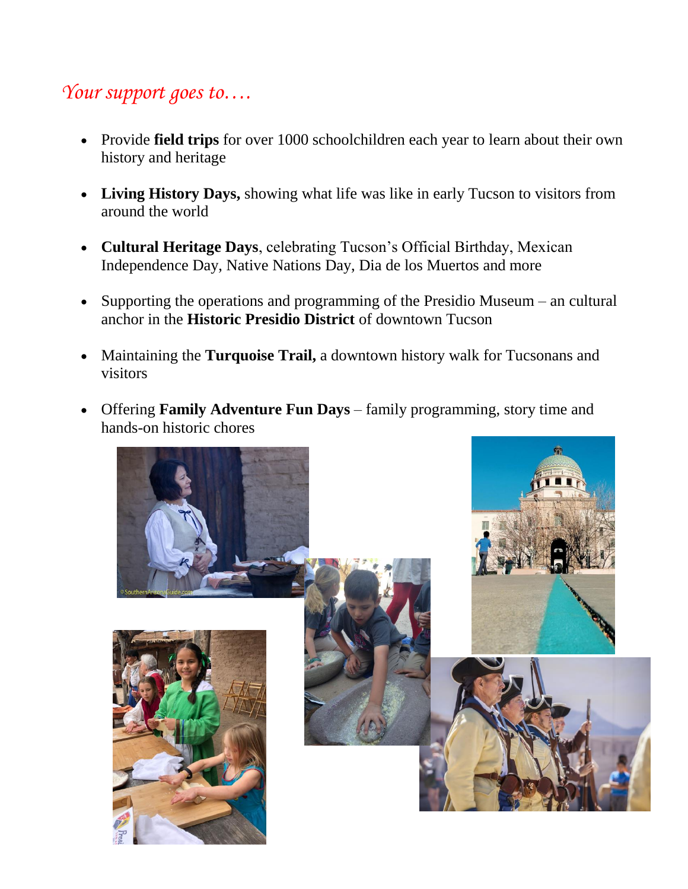## *Your support goes to….*

- Provide **field trips** for over 1000 schoolchildren each year to learn about their own history and heritage
- **Living History Days,** showing what life was like in early Tucson to visitors from around the world
- **Cultural Heritage Days**, celebrating Tucson's Official Birthday, Mexican Independence Day, Native Nations Day, Dia de los Muertos and more
- Supporting the operations and programming of the Presidio Museum an cultural anchor in the **Historic Presidio District** of downtown Tucson
- Maintaining the **Turquoise Trail,** a downtown history walk for Tucsonans and visitors
- Offering **Family Adventure Fun Days** family programming, story time and hands-on historic chores

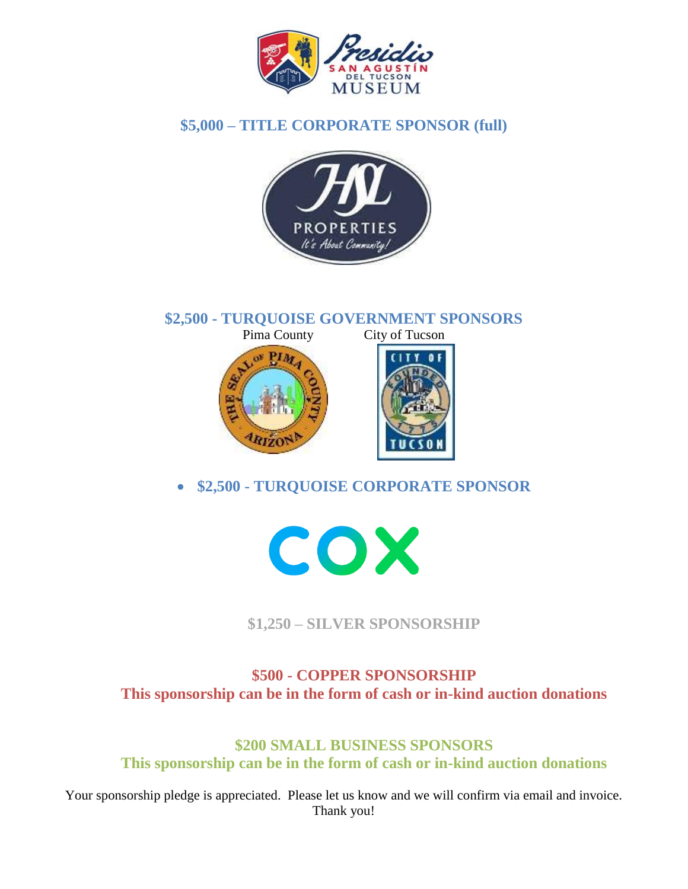

### **\$5,000 – TITLE CORPORATE SPONSOR (full)**



**\$2,500 - TURQUOISE GOVERNMENT SPONSORS** City of Tucson





**\$2,500 - TURQUOISE CORPORATE SPONSOR**



**\$1,250 – SILVER SPONSORSHIP** 

**\$500 - COPPER SPONSORSHIP This sponsorship can be in the form of cash or in-kind auction donations**

**\$200 SMALL BUSINESS SPONSORS This sponsorship can be in the form of cash or in-kind auction donations**

Your sponsorship pledge is appreciated. Please let us know and we will confirm via email and invoice. Thank you!